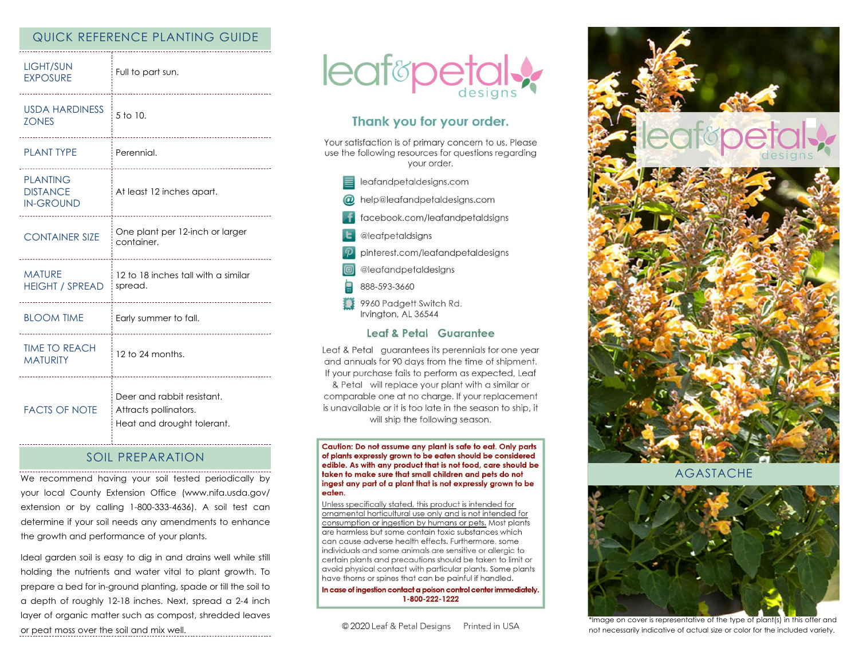## QUICK REFERENCE PLANTING GUIDE

| <b>LIGHT/SUN</b><br><b>EXPOSURE</b>                    | Full to part sun.<br>-------------------------------                              |
|--------------------------------------------------------|-----------------------------------------------------------------------------------|
| <b>USDA HARDINESS</b><br><b>ZONES</b><br>              | 5 to 10.<br>                                                                      |
| <b>PLANT TYPE</b>                                      | Perennial.                                                                        |
| <b>PLANTING</b><br><b>DISTANCE</b><br><b>IN-GROUND</b> | At least 12 inches apart.<br>-------------------------------                      |
| <b>CONTAINER SIZE</b>                                  | One plant per 12-inch or larger<br>container.                                     |
| <b>MATURE</b><br><b>HEIGHT / SPREAD</b>                | 12 to 18 inches tall with a similar<br>spread.                                    |
| <b>BLOOM TIME</b>                                      | Early summer to fall.<br>-----------------------------------                      |
| <b>TIME TO REACH</b><br><b>MATURITY</b>                | 12 to 24 months.                                                                  |
| <b>FACTS OF NOTE</b>                                   | Deer and rabbit resistant.<br>Attracts pollinators.<br>Heat and drought tolerant. |

## SOIL PREPARATION

We recommend having your soil tested periodically by your local County Extension Office (www.nifa.usda.gov/ extension or by calling 1-800-333-4636). A soil test can determine if your soil needs any amendments to enhance the growth and performance of your plants.

Ideal garden soil is easy to dig in and drains well while still holding the nutrients and water vital to plant growth. To prepare a bed for in-ground planting, spade or till the soil to a depth of roughly 12-18 inches. Next, spread a 2-4 inch layer of organic matter such as compost, shredded leaves or peat moss over the soil and mix well.



# Thank you for your order.

Your satisfaction is of primary concern to us. Please use the following resources for questions regarding your order.

- leafandpetaldesigns.com
- @ help@leafandpetaldesigns.com
- facebook.com/leafandpetaldsigns
- **L** @leafpetaldsigns
- pinterest.com/leafandpetaldesigns
- @leafandpetaldesigns
- 888-593-3660
- 9960 Padgett Switch Rd. Irvinaton, AL 36544

### Leaf & Petal Guarantee

Leaf & Petal guarantees its perennials for one year and annuals for 90 days from the time of shipment. If your purchase fails to perform as expected, Leaf & Petal will replace your plant with a similar or comparable one at no charge. If your replacement is unavailable or it is too late in the season to ship, it will ship the following season.

Caution: Do not assume any plant is safe to eat. Only parts of plants expressly grown to be eaten should be considered edible. As with any product that is not food, care should be taken to make sure that small children and pets do not ingest any part of a plant that is not expressly grown to be eaten.

Unless specifically stated, this product is intended for ornamental horticultural use only and is not intended for consumption or ingestion by humans or pets. Most plants are harmless but some contain toxic substances which can cause adverse health effects. Furthermore, some individuals and some animals are sensitive or allergic to certain plants and precautions should be taken to limit or avoid physical contact with particular plants. Some plants have thorns or spines that can be painful if handled.

In case of ingestion contact a poison control center immediately. 1-800-222-1222



AGASTACHE



\*Image on cover is representative of the type of plant(s) in this offer and not necessarily indicative of actual size or color for the included variety.